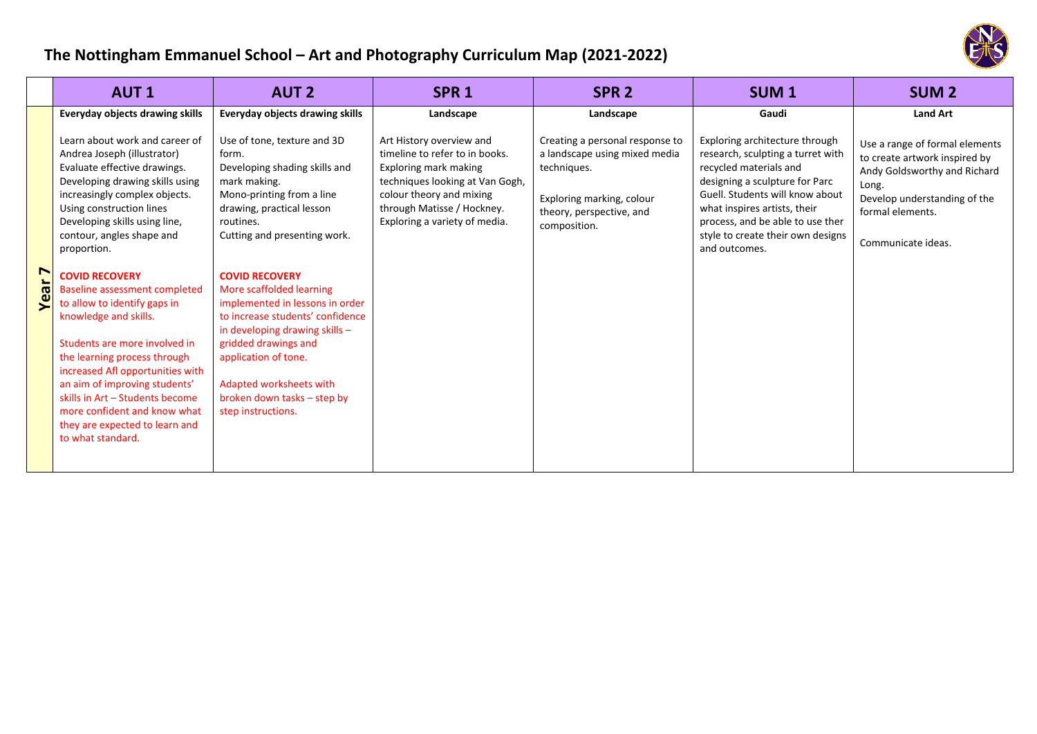## **The Nottingham Emmanuel School – Art and Photography Curriculum Map (2021‐2022)**



|                   | <b>AUT1</b>                                                                                                                                                                                                                                                                                                                                                                                                                                                                                                                                                                                                                                                   | <b>AUT 2</b>                                                                                                                                                                                                                                                                                                                                                                                                                                                                                 | SPR <sub>1</sub>                                                                                                                                                                                                  | SPR <sub>2</sub>                                                                                                                                         | <b>SUM1</b>                                                                                                                                                                                                                                                                                  | <b>SUM 2</b>                                                                                                                                                                       |
|-------------------|---------------------------------------------------------------------------------------------------------------------------------------------------------------------------------------------------------------------------------------------------------------------------------------------------------------------------------------------------------------------------------------------------------------------------------------------------------------------------------------------------------------------------------------------------------------------------------------------------------------------------------------------------------------|----------------------------------------------------------------------------------------------------------------------------------------------------------------------------------------------------------------------------------------------------------------------------------------------------------------------------------------------------------------------------------------------------------------------------------------------------------------------------------------------|-------------------------------------------------------------------------------------------------------------------------------------------------------------------------------------------------------------------|----------------------------------------------------------------------------------------------------------------------------------------------------------|----------------------------------------------------------------------------------------------------------------------------------------------------------------------------------------------------------------------------------------------------------------------------------------------|------------------------------------------------------------------------------------------------------------------------------------------------------------------------------------|
|                   | Everyday objects drawing skills                                                                                                                                                                                                                                                                                                                                                                                                                                                                                                                                                                                                                               | <b>Everyday objects drawing skills</b>                                                                                                                                                                                                                                                                                                                                                                                                                                                       | Landscape                                                                                                                                                                                                         | Landscape                                                                                                                                                | Gaudi                                                                                                                                                                                                                                                                                        | <b>Land Art</b>                                                                                                                                                                    |
| Year <sub>7</sub> | Learn about work and career of<br>Andrea Joseph (illustrator)<br>Evaluate effective drawings.<br>Developing drawing skills using<br>increasingly complex objects.<br>Using construction lines<br>Developing skills using line,<br>contour, angles shape and<br>proportion.<br><b>COVID RECOVERY</b><br>Baseline assessment completed<br>to allow to identify gaps in<br>knowledge and skills.<br>Students are more involved in<br>the learning process through<br>increased Afl opportunities with<br>an aim of improving students'<br>skills in Art - Students become<br>more confident and know what<br>they are expected to learn and<br>to what standard. | Use of tone, texture and 3D<br>form.<br>Developing shading skills and<br>mark making.<br>Mono-printing from a line<br>drawing, practical lesson<br>routines.<br>Cutting and presenting work.<br><b>COVID RECOVERY</b><br>More scaffolded learning<br>implemented in lessons in order<br>to increase students' confidence<br>in developing drawing skills $-$<br>gridded drawings and<br>application of tone.<br>Adapted worksheets with<br>broken down tasks – step by<br>step instructions. | Art History overview and<br>timeline to refer to in books.<br>Exploring mark making<br>techniques looking at Van Gogh,<br>colour theory and mixing<br>through Matisse / Hockney.<br>Exploring a variety of media. | Creating a personal response to<br>a landscape using mixed media<br>techniques.<br>Exploring marking, colour<br>theory, perspective, and<br>composition. | Exploring architecture through<br>research, sculpting a turret with<br>recycled materials and<br>designing a sculpture for Parc<br>Guell. Students will know about<br>what inspires artists, their<br>process, and be able to use ther<br>style to create their own designs<br>and outcomes. | Use a range of formal elements<br>to create artwork inspired by<br>Andy Goldsworthy and Richard<br>Long.<br>Develop understanding of the<br>formal elements.<br>Communicate ideas. |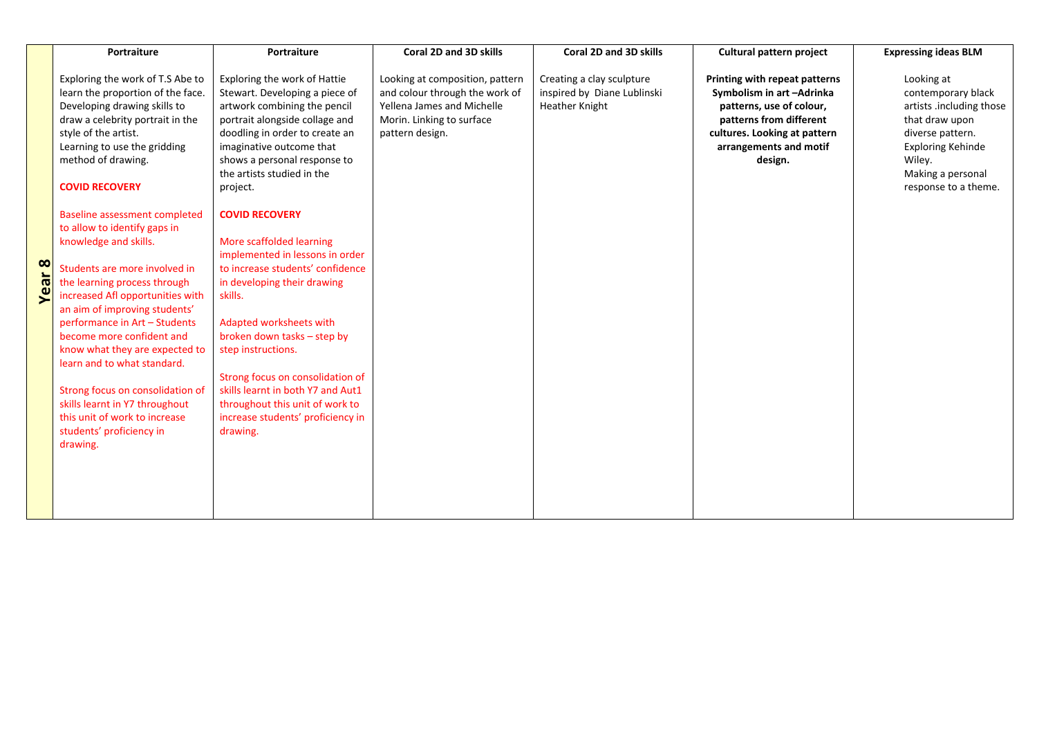|               | Portraiture                                                                                                                                                                                                                                                                                                                                                                                                                                                                                                                                                                                                                                                                                                                                                           | Portraiture                                                                                                                                                                                                                                                                                                                                                                                                                                                                                                                                                                                                                                                                                 | Coral 2D and 3D skills                                                                                                                          | Coral 2D and 3D skills                                                     | Cultural pattern project                                                                                                                                                              | <b>Expressing ideas BLM</b>                                                                                                                                                           |
|---------------|-----------------------------------------------------------------------------------------------------------------------------------------------------------------------------------------------------------------------------------------------------------------------------------------------------------------------------------------------------------------------------------------------------------------------------------------------------------------------------------------------------------------------------------------------------------------------------------------------------------------------------------------------------------------------------------------------------------------------------------------------------------------------|---------------------------------------------------------------------------------------------------------------------------------------------------------------------------------------------------------------------------------------------------------------------------------------------------------------------------------------------------------------------------------------------------------------------------------------------------------------------------------------------------------------------------------------------------------------------------------------------------------------------------------------------------------------------------------------------|-------------------------------------------------------------------------------------------------------------------------------------------------|----------------------------------------------------------------------------|---------------------------------------------------------------------------------------------------------------------------------------------------------------------------------------|---------------------------------------------------------------------------------------------------------------------------------------------------------------------------------------|
| <b>Year 8</b> | Exploring the work of T.S Abe to<br>learn the proportion of the face.<br>Developing drawing skills to<br>draw a celebrity portrait in the<br>style of the artist.<br>Learning to use the gridding<br>method of drawing.<br><b>COVID RECOVERY</b><br><b>Baseline assessment completed</b><br>to allow to identify gaps in<br>knowledge and skills.<br>Students are more involved in<br>the learning process through<br>increased Afl opportunities with<br>an aim of improving students'<br>performance in Art - Students<br>become more confident and<br>know what they are expected to<br>learn and to what standard.<br>Strong focus on consolidation of<br>skills learnt in Y7 throughout<br>this unit of work to increase<br>students' proficiency in<br>drawing. | Exploring the work of Hattie<br>Stewart. Developing a piece of<br>artwork combining the pencil<br>portrait alongside collage and<br>doodling in order to create an<br>imaginative outcome that<br>shows a personal response to<br>the artists studied in the<br>project.<br><b>COVID RECOVERY</b><br>More scaffolded learning<br>implemented in lessons in order<br>to increase students' confidence<br>in developing their drawing<br>skills.<br>Adapted worksheets with<br>broken down tasks - step by<br>step instructions.<br>Strong focus on consolidation of<br>skills learnt in both Y7 and Aut1<br>throughout this unit of work to<br>increase students' proficiency in<br>drawing. | Looking at composition, pattern<br>and colour through the work of<br>Yellena James and Michelle<br>Morin. Linking to surface<br>pattern design. | Creating a clay sculpture<br>inspired by Diane Lublinski<br>Heather Knight | Printing with repeat patterns<br>Symbolism in art-Adrinka<br>patterns, use of colour,<br>patterns from different<br>cultures. Looking at pattern<br>arrangements and motif<br>design. | Looking at<br>contemporary black<br>artists .including those<br>that draw upon<br>diverse pattern.<br><b>Exploring Kehinde</b><br>Wiley.<br>Making a personal<br>response to a theme. |
|               |                                                                                                                                                                                                                                                                                                                                                                                                                                                                                                                                                                                                                                                                                                                                                                       |                                                                                                                                                                                                                                                                                                                                                                                                                                                                                                                                                                                                                                                                                             |                                                                                                                                                 |                                                                            |                                                                                                                                                                                       |                                                                                                                                                                                       |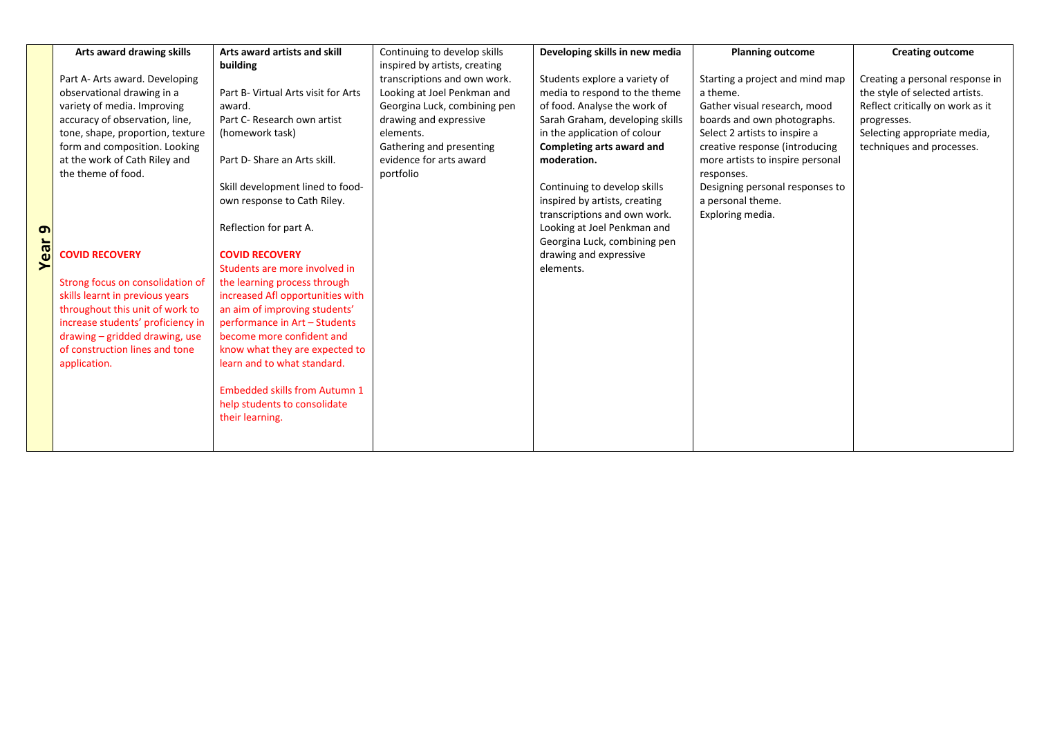|      | Arts award drawing skills         | Arts award artists and skill         | Continuing to develop skills  | Developing skills in new media  | <b>Planning outcome</b>          | <b>Creating outcome</b>          |
|------|-----------------------------------|--------------------------------------|-------------------------------|---------------------------------|----------------------------------|----------------------------------|
|      |                                   | building                             | inspired by artists, creating |                                 |                                  |                                  |
|      | Part A- Arts award. Developing    |                                      | transcriptions and own work.  | Students explore a variety of   | Starting a project and mind map  | Creating a personal response in  |
|      | observational drawing in a        | Part B- Virtual Arts visit for Arts  | Looking at Joel Penkman and   | media to respond to the theme   | a theme.                         | the style of selected artists.   |
|      | variety of media. Improving       | award.                               | Georgina Luck, combining pen  | of food. Analyse the work of    | Gather visual research, mood     | Reflect critically on work as it |
|      | accuracy of observation, line,    | Part C- Research own artist          | drawing and expressive        | Sarah Graham, developing skills | boards and own photographs.      | progresses.                      |
|      | tone, shape, proportion, texture  | (homework task)                      | elements.                     | in the application of colour    | Select 2 artists to inspire a    | Selecting appropriate media,     |
|      | form and composition. Looking     |                                      | Gathering and presenting      | Completing arts award and       | creative response (introducing   | techniques and processes.        |
|      | at the work of Cath Riley and     | Part D- Share an Arts skill.         | evidence for arts award       | moderation.                     | more artists to inspire personal |                                  |
|      | the theme of food.                |                                      | portfolio                     |                                 | responses.                       |                                  |
|      |                                   | Skill development lined to food-     |                               | Continuing to develop skills    | Designing personal responses to  |                                  |
|      |                                   | own response to Cath Riley.          |                               | inspired by artists, creating   | a personal theme.                |                                  |
|      |                                   |                                      |                               | transcriptions and own work.    | Exploring media.                 |                                  |
| თ    |                                   | Reflection for part A.               |                               | Looking at Joel Penkman and     |                                  |                                  |
| Year |                                   |                                      |                               | Georgina Luck, combining pen    |                                  |                                  |
|      | <b>COVID RECOVERY</b>             | <b>COVID RECOVERY</b>                |                               | drawing and expressive          |                                  |                                  |
|      |                                   | Students are more involved in        |                               | elements.                       |                                  |                                  |
|      | Strong focus on consolidation of  | the learning process through         |                               |                                 |                                  |                                  |
|      | skills learnt in previous years   | increased Afl opportunities with     |                               |                                 |                                  |                                  |
|      | throughout this unit of work to   | an aim of improving students'        |                               |                                 |                                  |                                  |
|      | increase students' proficiency in | performance in Art - Students        |                               |                                 |                                  |                                  |
|      | drawing - gridded drawing, use    | become more confident and            |                               |                                 |                                  |                                  |
|      | of construction lines and tone    | know what they are expected to       |                               |                                 |                                  |                                  |
|      | application.                      | learn and to what standard.          |                               |                                 |                                  |                                  |
|      |                                   |                                      |                               |                                 |                                  |                                  |
|      |                                   | <b>Embedded skills from Autumn 1</b> |                               |                                 |                                  |                                  |
|      |                                   | help students to consolidate         |                               |                                 |                                  |                                  |
|      |                                   | their learning.                      |                               |                                 |                                  |                                  |
|      |                                   |                                      |                               |                                 |                                  |                                  |
|      |                                   |                                      |                               |                                 |                                  |                                  |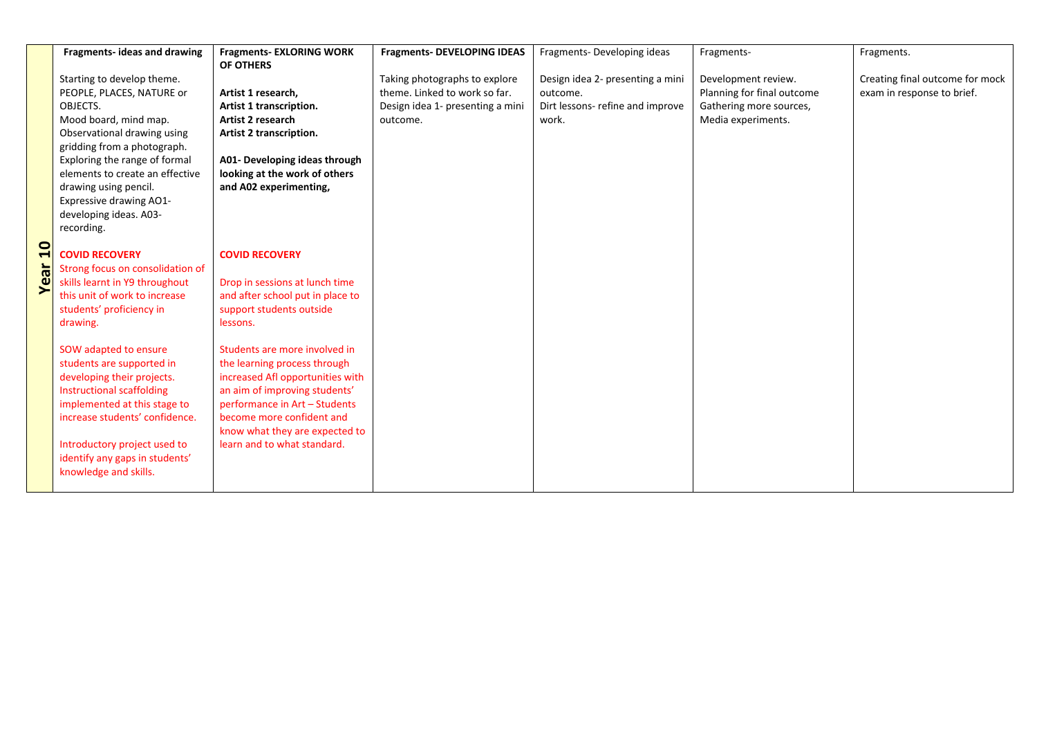|          | Fragments- ideas and drawing     | <b>Fragments- EXLORING WORK</b>  | <b>Fragments- DEVELOPING IDEAS</b> | Fragments-Developing ideas       | Fragments-                 | Fragments.                      |
|----------|----------------------------------|----------------------------------|------------------------------------|----------------------------------|----------------------------|---------------------------------|
|          |                                  | OF OTHERS                        |                                    |                                  |                            |                                 |
|          | Starting to develop theme.       |                                  | Taking photographs to explore      | Design idea 2- presenting a mini | Development review.        | Creating final outcome for mock |
|          | PEOPLE, PLACES, NATURE or        | Artist 1 research,               | theme. Linked to work so far.      | outcome.                         | Planning for final outcome | exam in response to brief.      |
|          | OBJECTS.                         | Artist 1 transcription.          | Design idea 1- presenting a mini   | Dirt lessons- refine and improve | Gathering more sources,    |                                 |
|          | Mood board, mind map.            | <b>Artist 2 research</b>         | outcome.                           | work.                            | Media experiments.         |                                 |
|          | Observational drawing using      | Artist 2 transcription.          |                                    |                                  |                            |                                 |
|          | gridding from a photograph.      |                                  |                                    |                                  |                            |                                 |
|          | Exploring the range of formal    | A01- Developing ideas through    |                                    |                                  |                            |                                 |
|          | elements to create an effective  | looking at the work of others    |                                    |                                  |                            |                                 |
|          | drawing using pencil.            | and A02 experimenting,           |                                    |                                  |                            |                                 |
|          | <b>Expressive drawing AO1-</b>   |                                  |                                    |                                  |                            |                                 |
|          | developing ideas. A03-           |                                  |                                    |                                  |                            |                                 |
|          | recording.                       |                                  |                                    |                                  |                            |                                 |
|          |                                  |                                  |                                    |                                  |                            |                                 |
|          | <b>COVID RECOVERY</b>            | <b>COVID RECOVERY</b>            |                                    |                                  |                            |                                 |
| ಹ        | Strong focus on consolidation of |                                  |                                    |                                  |                            |                                 |
| $\omega$ | skills learnt in Y9 throughout   | Drop in sessions at lunch time   |                                    |                                  |                            |                                 |
|          | this unit of work to increase    | and after school put in place to |                                    |                                  |                            |                                 |
|          | students' proficiency in         | support students outside         |                                    |                                  |                            |                                 |
|          | drawing.                         | lessons.                         |                                    |                                  |                            |                                 |
|          |                                  |                                  |                                    |                                  |                            |                                 |
|          | SOW adapted to ensure            | Students are more involved in    |                                    |                                  |                            |                                 |
|          | students are supported in        | the learning process through     |                                    |                                  |                            |                                 |
|          | developing their projects.       | increased Afl opportunities with |                                    |                                  |                            |                                 |
|          | <b>Instructional scaffolding</b> | an aim of improving students'    |                                    |                                  |                            |                                 |
|          | implemented at this stage to     | performance in Art - Students    |                                    |                                  |                            |                                 |
|          | increase students' confidence.   | become more confident and        |                                    |                                  |                            |                                 |
|          |                                  | know what they are expected to   |                                    |                                  |                            |                                 |
|          | Introductory project used to     | learn and to what standard.      |                                    |                                  |                            |                                 |
|          | identify any gaps in students'   |                                  |                                    |                                  |                            |                                 |
|          | knowledge and skills.            |                                  |                                    |                                  |                            |                                 |
|          |                                  |                                  |                                    |                                  |                            |                                 |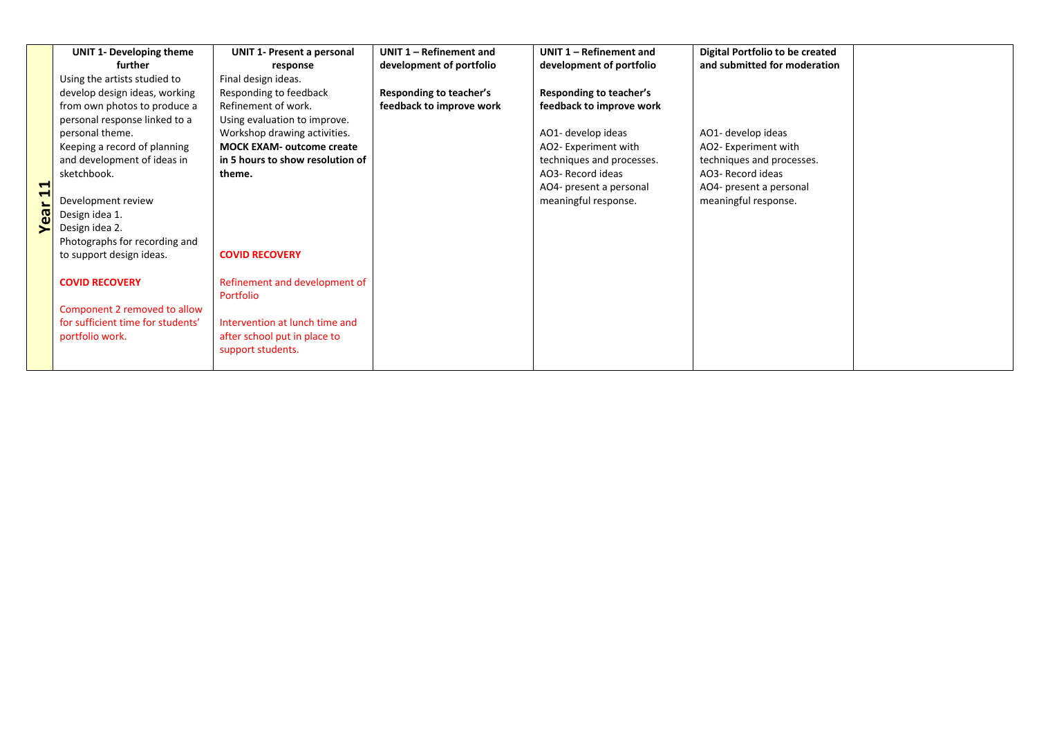|           | <b>UNIT 1- Developing theme</b>   | <b>UNIT 1- Present a personal</b> | UNIT 1 - Refinement and  | UNIT 1 - Refinement and   | Digital Portfolio to be created |  |
|-----------|-----------------------------------|-----------------------------------|--------------------------|---------------------------|---------------------------------|--|
|           | further                           | response                          | development of portfolio | development of portfolio  | and submitted for moderation    |  |
|           | Using the artists studied to      | Final design ideas.               |                          |                           |                                 |  |
|           | develop design ideas, working     | Responding to feedback            | Responding to teacher's  | Responding to teacher's   |                                 |  |
|           | from own photos to produce a      | Refinement of work.               | feedback to improve work | feedback to improve work  |                                 |  |
|           | personal response linked to a     | Using evaluation to improve.      |                          |                           |                                 |  |
|           | personal theme.                   | Workshop drawing activities.      |                          | AO1- develop ideas        | AO1- develop ideas              |  |
|           | Keeping a record of planning      | <b>MOCK EXAM- outcome create</b>  |                          | AO2- Experiment with      | AO2- Experiment with            |  |
|           | and development of ideas in       | in 5 hours to show resolution of  |                          | techniques and processes. | techniques and processes.       |  |
|           | sketchbook.                       | theme.                            |                          | AO3- Record ideas         | AO3- Record ideas               |  |
| −<br>1    |                                   |                                   |                          | AO4- present a personal   | AO4- present a personal         |  |
|           | Development review                |                                   |                          | meaningful response.      | meaningful response.            |  |
| <b>de</b> | Design idea 1.                    |                                   |                          |                           |                                 |  |
|           | Design idea 2.                    |                                   |                          |                           |                                 |  |
|           | Photographs for recording and     |                                   |                          |                           |                                 |  |
|           | to support design ideas.          | <b>COVID RECOVERY</b>             |                          |                           |                                 |  |
|           |                                   |                                   |                          |                           |                                 |  |
|           | <b>COVID RECOVERY</b>             | Refinement and development of     |                          |                           |                                 |  |
|           |                                   | Portfolio                         |                          |                           |                                 |  |
|           | Component 2 removed to allow      |                                   |                          |                           |                                 |  |
|           | for sufficient time for students' | Intervention at lunch time and    |                          |                           |                                 |  |
|           | portfolio work.                   | after school put in place to      |                          |                           |                                 |  |
|           |                                   | support students.                 |                          |                           |                                 |  |
|           |                                   |                                   |                          |                           |                                 |  |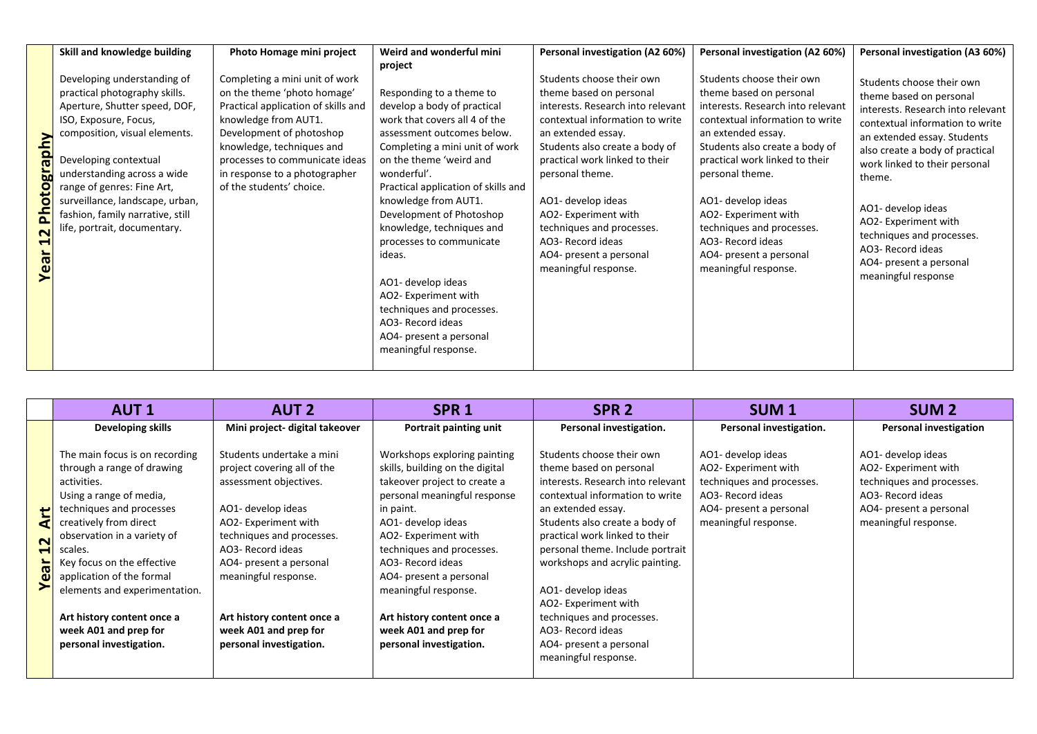|                                                                   | Skill and knowledge building                                                                                                                                                                                                                                                                                                                         | Photo Homage mini project                                                                                                                                                                                                                                                            | Weird and wonderful mini                                                                                                                                                                                                                                                                                                                                                                                                                                                                                                       | Personal investigation (A2 60%)                                                                                                                                                                                                                                                                                                                                                              | Personal investigation (A2 60%)                                                                                                                                                                                                                                                                                                                                                              | Personal investigation (A3 60%)                                                                                                                                                                                                                                                                                                                                                             |
|-------------------------------------------------------------------|------------------------------------------------------------------------------------------------------------------------------------------------------------------------------------------------------------------------------------------------------------------------------------------------------------------------------------------------------|--------------------------------------------------------------------------------------------------------------------------------------------------------------------------------------------------------------------------------------------------------------------------------------|--------------------------------------------------------------------------------------------------------------------------------------------------------------------------------------------------------------------------------------------------------------------------------------------------------------------------------------------------------------------------------------------------------------------------------------------------------------------------------------------------------------------------------|----------------------------------------------------------------------------------------------------------------------------------------------------------------------------------------------------------------------------------------------------------------------------------------------------------------------------------------------------------------------------------------------|----------------------------------------------------------------------------------------------------------------------------------------------------------------------------------------------------------------------------------------------------------------------------------------------------------------------------------------------------------------------------------------------|---------------------------------------------------------------------------------------------------------------------------------------------------------------------------------------------------------------------------------------------------------------------------------------------------------------------------------------------------------------------------------------------|
| Nuq<br><b>Iela</b><br>oto<br>£<br>$\overline{\mathbf{N}}$<br>Year | Developing understanding of<br>practical photography skills.<br>Aperture, Shutter speed, DOF,<br>ISO, Exposure, Focus,<br>composition, visual elements.<br>Developing contextual<br>understanding across a wide<br>range of genres: Fine Art,<br>surveillance, landscape, urban,<br>fashion, family narrative, still<br>life, portrait, documentary. | Completing a mini unit of work<br>on the theme 'photo homage'<br>Practical application of skills and<br>knowledge from AUT1.<br>Development of photoshop<br>knowledge, techniques and<br>processes to communicate ideas<br>in response to a photographer<br>of the students' choice. | project<br>Responding to a theme to<br>develop a body of practical<br>work that covers all 4 of the<br>assessment outcomes below.<br>Completing a mini unit of work<br>on the theme 'weird and<br>wonderful'.<br>Practical application of skills and<br>knowledge from AUT1.<br>Development of Photoshop<br>knowledge, techniques and<br>processes to communicate<br>ideas.<br>AO1- develop ideas<br>AO2- Experiment with<br>techniques and processes.<br>AO3- Record ideas<br>AO4- present a personal<br>meaningful response. | Students choose their own<br>theme based on personal<br>interests. Research into relevant<br>contextual information to write<br>an extended essay.<br>Students also create a body of<br>practical work linked to their<br>personal theme.<br>AO1- develop ideas<br>AO2- Experiment with<br>techniques and processes.<br>AO3- Record ideas<br>AO4- present a personal<br>meaningful response. | Students choose their own<br>theme based on personal<br>interests. Research into relevant<br>contextual information to write<br>an extended essay.<br>Students also create a body of<br>practical work linked to their<br>personal theme.<br>AO1- develop ideas<br>AO2- Experiment with<br>techniques and processes.<br>AO3- Record ideas<br>AO4- present a personal<br>meaningful response. | Students choose their own<br>theme based on personal<br>interests. Research into relevant<br>contextual information to write<br>an extended essay. Students<br>also create a body of practical<br>work linked to their personal<br>theme.<br>AO1- develop ideas<br>AO2- Experiment with<br>techniques and processes.<br>AO3- Record ideas<br>AO4- present a personal<br>meaningful response |

|                                                                 | <b>AUT1</b>                                                                                                                                                                                                                                                                                                                                                                          | <b>AUT 2</b>                                                                                                                                                                                                                                                                                                            | SPR <sub>1</sub>                                                                                                                                                                                                                                                                                                                                                                  | SPR <sub>2</sub>                                                                                                                                                                                                                                                                                                                                                                                                                                 | SUM <sub>1</sub>                                                                                                                                | <b>SUM 2</b>                                                                                                                                    |
|-----------------------------------------------------------------|--------------------------------------------------------------------------------------------------------------------------------------------------------------------------------------------------------------------------------------------------------------------------------------------------------------------------------------------------------------------------------------|-------------------------------------------------------------------------------------------------------------------------------------------------------------------------------------------------------------------------------------------------------------------------------------------------------------------------|-----------------------------------------------------------------------------------------------------------------------------------------------------------------------------------------------------------------------------------------------------------------------------------------------------------------------------------------------------------------------------------|--------------------------------------------------------------------------------------------------------------------------------------------------------------------------------------------------------------------------------------------------------------------------------------------------------------------------------------------------------------------------------------------------------------------------------------------------|-------------------------------------------------------------------------------------------------------------------------------------------------|-------------------------------------------------------------------------------------------------------------------------------------------------|
|                                                                 | Developing skills                                                                                                                                                                                                                                                                                                                                                                    | Mini project- digital takeover                                                                                                                                                                                                                                                                                          | Portrait painting unit                                                                                                                                                                                                                                                                                                                                                            | Personal investigation.                                                                                                                                                                                                                                                                                                                                                                                                                          | Personal investigation.                                                                                                                         | <b>Personal investigation</b>                                                                                                                   |
| ゼ<br>₫<br>$\mathbf{\mathsf{N}}$<br>$\blacktriangleleft$<br>Year | The main focus is on recording<br>through a range of drawing<br>activities.<br>Using a range of media,<br>techniques and processes<br>creatively from direct<br>observation in a variety of<br>scales.<br>Key focus on the effective<br>application of the formal<br>elements and experimentation.<br>Art history content once a<br>week A01 and prep for<br>personal investigation. | Students undertake a mini<br>project covering all of the<br>assessment objectives.<br>AO1- develop ideas<br>AO2- Experiment with<br>techniques and processes.<br>AO3- Record ideas<br>AO4- present a personal<br>meaningful response.<br>Art history content once a<br>week A01 and prep for<br>personal investigation. | Workshops exploring painting<br>skills, building on the digital<br>takeover project to create a<br>personal meaningful response<br>in paint.<br>AO1- develop ideas<br>AO2- Experiment with<br>techniques and processes.<br>AO3- Record ideas<br>AO4- present a personal<br>meaningful response.<br>Art history content once a<br>week A01 and prep for<br>personal investigation. | Students choose their own<br>theme based on personal<br>interests. Research into relevant<br>contextual information to write<br>an extended essay.<br>Students also create a body of<br>practical work linked to their<br>personal theme. Include portrait<br>workshops and acrylic painting.<br>AO1- develop ideas<br>AO2- Experiment with<br>techniques and processes.<br>AO3- Record ideas<br>AO4- present a personal<br>meaningful response. | AO1- develop ideas<br>AO2- Experiment with<br>techniques and processes.<br>AO3- Record ideas<br>AO4- present a personal<br>meaningful response. | AO1- develop ideas<br>AO2- Experiment with<br>techniques and processes.<br>AO3- Record ideas<br>AO4- present a personal<br>meaningful response. |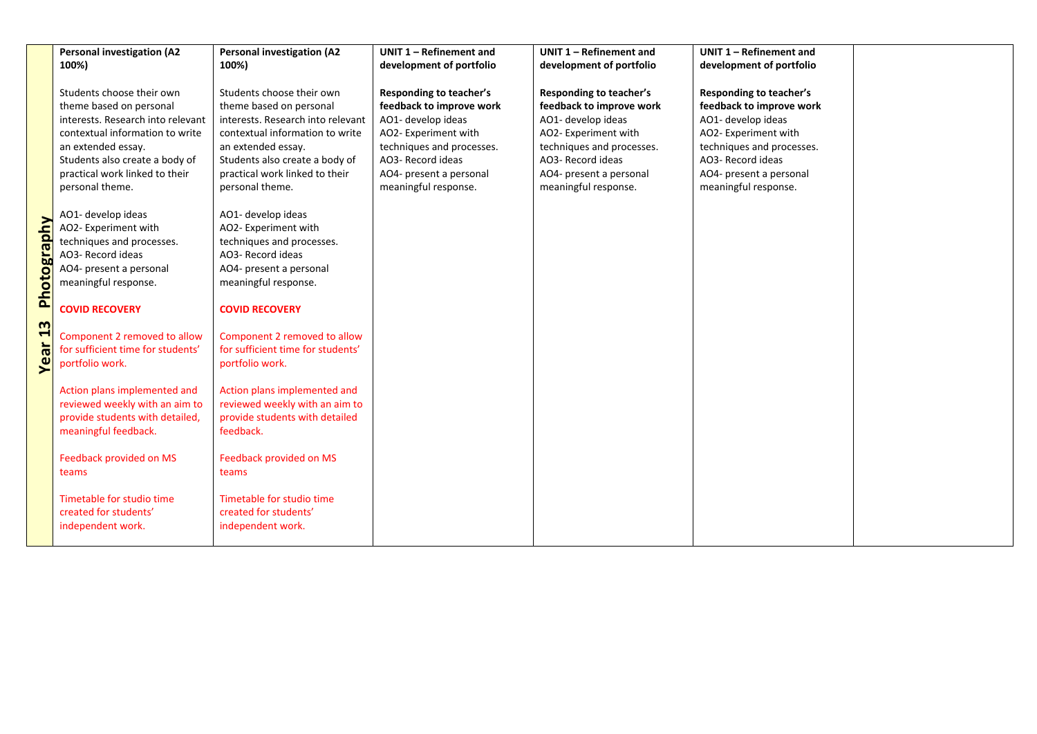|                      | <b>Personal investigation (A2</b><br>100%)                                                                                                                                                                                                | <b>Personal investigation (A2</b><br>100%)                                                                                                                                                                                                | UNIT 1 - Refinement and<br>development of portfolio                                                                                                                                                           | UNIT 1 - Refinement and<br>development of portfolio                                                                                                                                                    | UNIT 1 - Refinement and<br>development of portfolio                                                                                                                                                    |
|----------------------|-------------------------------------------------------------------------------------------------------------------------------------------------------------------------------------------------------------------------------------------|-------------------------------------------------------------------------------------------------------------------------------------------------------------------------------------------------------------------------------------------|---------------------------------------------------------------------------------------------------------------------------------------------------------------------------------------------------------------|--------------------------------------------------------------------------------------------------------------------------------------------------------------------------------------------------------|--------------------------------------------------------------------------------------------------------------------------------------------------------------------------------------------------------|
|                      | Students choose their own<br>theme based on personal<br>interests. Research into relevant<br>contextual information to write<br>an extended essay.<br>Students also create a body of<br>practical work linked to their<br>personal theme. | Students choose their own<br>theme based on personal<br>interests. Research into relevant<br>contextual information to write<br>an extended essay.<br>Students also create a body of<br>practical work linked to their<br>personal theme. | <b>Responding to teacher's</b><br>feedback to improve work<br>AO1- develop ideas<br>AO2- Experiment with<br>techniques and processes.<br>AO3- Record ideas<br>AO4- present a personal<br>meaningful response. | Responding to teacher's<br>feedback to improve work<br>AO1- develop ideas<br>AO2- Experiment with<br>techniques and processes.<br>AO3- Record ideas<br>AO4- present a personal<br>meaningful response. | Responding to teacher's<br>feedback to improve work<br>AO1- develop ideas<br>AO2- Experiment with<br>techniques and processes.<br>AO3- Record ideas<br>AO4- present a personal<br>meaningful response. |
| hotograp<br><u>ه</u> | AO1- develop ideas<br>AO2- Experiment with<br>techniques and processes.<br>AO3- Record ideas<br>AO4- present a personal<br>meaningful response.<br><b>COVID RECOVERY</b>                                                                  | AO1- develop ideas<br>AO2- Experiment with<br>techniques and processes.<br>AO3- Record ideas<br>AO4- present a personal<br>meaningful response.<br><b>COVID RECOVERY</b>                                                                  |                                                                                                                                                                                                               |                                                                                                                                                                                                        |                                                                                                                                                                                                        |
| m<br>1<br>Year       | Component 2 removed to allow<br>for sufficient time for students'<br>portfolio work.                                                                                                                                                      | Component 2 removed to allow<br>for sufficient time for students'<br>portfolio work.                                                                                                                                                      |                                                                                                                                                                                                               |                                                                                                                                                                                                        |                                                                                                                                                                                                        |
|                      | Action plans implemented and<br>reviewed weekly with an aim to<br>provide students with detailed,<br>meaningful feedback.                                                                                                                 | Action plans implemented and<br>reviewed weekly with an aim to<br>provide students with detailed<br>feedback.                                                                                                                             |                                                                                                                                                                                                               |                                                                                                                                                                                                        |                                                                                                                                                                                                        |
|                      | Feedback provided on MS<br>teams                                                                                                                                                                                                          | Feedback provided on MS<br>teams                                                                                                                                                                                                          |                                                                                                                                                                                                               |                                                                                                                                                                                                        |                                                                                                                                                                                                        |
|                      | Timetable for studio time<br>created for students'<br>independent work.                                                                                                                                                                   | Timetable for studio time<br>created for students'<br>independent work.                                                                                                                                                                   |                                                                                                                                                                                                               |                                                                                                                                                                                                        |                                                                                                                                                                                                        |